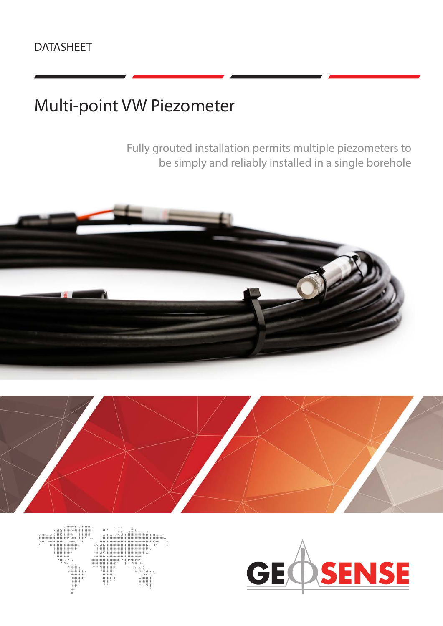# Multi-point VW Piezometer

Fully grouted installation permits multiple piezometers to be simply and reliably installed in a single borehole







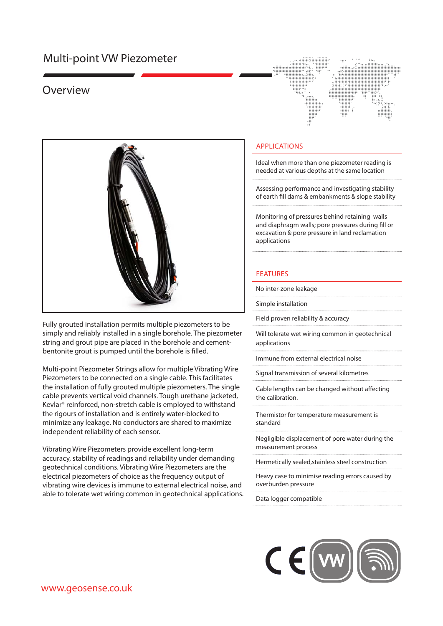## Multi-point VW Piezometer

### Overview



Fully grouted installation permits multiple piezometers to be simply and reliably installed in a single borehole. The piezometer string and grout pipe are placed in the borehole and cementbentonite grout is pumped until the borehole is filled.

Multi-point Piezometer Strings allow for multiple Vibrating Wire Piezometers to be connected on a single cable. This facilitates the installation of fully grouted multiple piezometers. The single cable prevents vertical void channels. Tough urethane jacketed, Kevlar® reinforced, non-stretch cable is employed to withstand the rigours of installation and is entirely water-blocked to minimize any leakage. No conductors are shared to maximize independent reliability of each sensor.

Vibrating Wire Piezometers provide excellent long-term accuracy, stability of readings and reliability under demanding geotechnical conditions. Vibrating Wire Piezometers are the electrical piezometers of choice as the frequency output of vibrating wire devices is immune to external electrical noise, and able to tolerate wet wiring common in geotechnical applications.



#### APPLICATIONS

Ideal when more than one piezometer reading is needed at various depths at the same location

Assessing performance and investigating stability of earth fill dams & embankments & slope stability

Monitoring of pressures behind retaining walls and diaphragm walls; pore pressures during fill or excavation & pore pressure in land reclamation applications

#### FEATURES

No inter-zone leakage

Simple installation

Field proven reliability & accuracy

Will tolerate wet wiring common in geotechnical applications

Immune from external electrical noise

Signal transmission of several kilometres

Cable lengths can be changed without affecting the calibration.

Thermistor for temperature measurement is standard

Negligible displacement of pore water during the measurement process

Hermetically sealed,stainless steel construction

Heavy case to minimise reading errors caused by overburden pressure

Data logger compatible

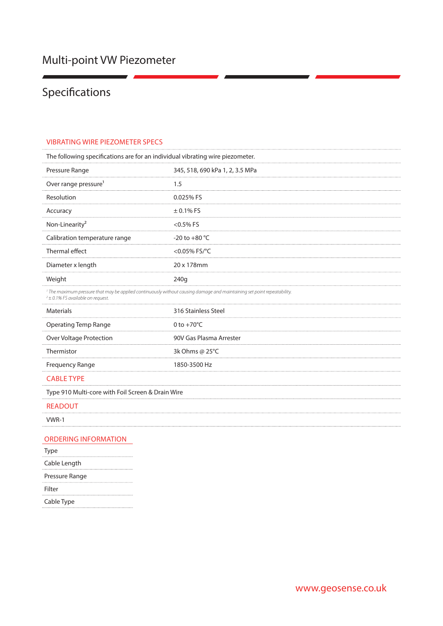## Specifications

#### VIBRATING WIRE PIEZOMETER SPECS

| The following specifications are for an individual vibrating wire piezometer.                                                                                                |                                 |
|------------------------------------------------------------------------------------------------------------------------------------------------------------------------------|---------------------------------|
| Pressure Range                                                                                                                                                               | 345, 518, 690 kPa 1, 2, 3.5 MPa |
| Over range pressure <sup>1</sup>                                                                                                                                             | 1.5                             |
| Resolution                                                                                                                                                                   | 0.025% FS                       |
| Accuracy                                                                                                                                                                     | $\pm$ 0.1% FS                   |
| Non-Linearity <sup>2</sup>                                                                                                                                                   | $<$ 0.5% FS                     |
| Calibration temperature range                                                                                                                                                | -20 to +80 $^{\circ}$ C         |
| Thermal effect                                                                                                                                                               | <0.05% FS/°C                    |
| Diameter x length                                                                                                                                                            | 20 x 178mm                      |
| Weight                                                                                                                                                                       | 240g                            |
| <sup>1</sup> The maximum pressure that may be applied continuously without causing damage and maintaining set point repeatability.<br>$2 \pm 0.1$ % FS available on request. |                                 |
| <b>Materials</b>                                                                                                                                                             | 316 Stainless Steel             |
| <b>Operating Temp Range</b>                                                                                                                                                  | 0 to $+70^{\circ}$ C            |
| <b>Over Voltage Protection</b>                                                                                                                                               | 90V Gas Plasma Arrester         |
| Thermistor                                                                                                                                                                   | 3k Ohms @ 25°C                  |
| <b>Frequency Range</b>                                                                                                                                                       | 1850-3500 Hz                    |
| <b>CABLE TYPE</b>                                                                                                                                                            |                                 |
| Type 910 Multi-core with Foil Screen & Drain Wire                                                                                                                            |                                 |
| <b>READOUT</b>                                                                                                                                                               |                                 |
| VWR-1                                                                                                                                                                        |                                 |
| <b>ORDERING INFORMATION</b>                                                                                                                                                  |                                 |

| <b>Type</b>    |
|----------------|
| Cable Length   |
| Pressure Range |
| Filter         |
| Cable Type     |
|                |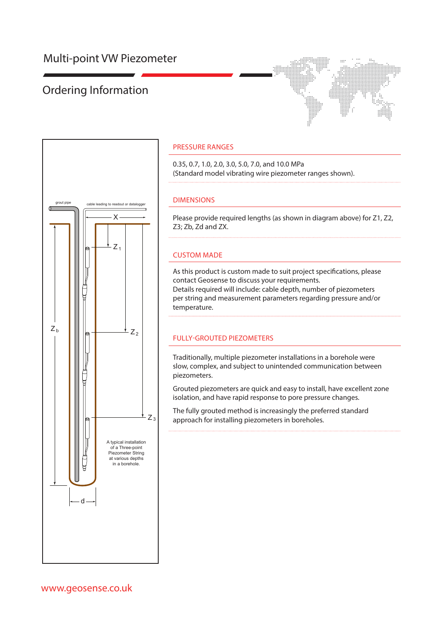## Ordering Information



#### PRESSURE RANGES

0.35, 0.7, 1.0, 2.0, 3.0, 5.0, 7.0, and 10.0 MPa (Standard model vibrating wire piezometer ranges shown).

#### DIMENSIONS

Please provide required lengths (as shown in diagram above) for Z1, Z2, Z3; Zb, Zd and ZX.

#### CUSTOM MADE

As this product is custom made to suit project specifications, please contact Geosense to discuss your requirements. Details required will include: cable depth, number of piezometers per string and measurement parameters regarding pressure and/or temperature.

#### FULLY-GROUTED PIEZOMETERS

Traditionally, multiple piezometer installations in a borehole were slow, complex, and subject to unintended communication between piezometers.

Grouted piezometers are quick and easy to install, have excellent zone isolation, and have rapid response to pore pressure changes.

The fully grouted method is increasingly the preferred standard approach for installing piezometers in boreholes.